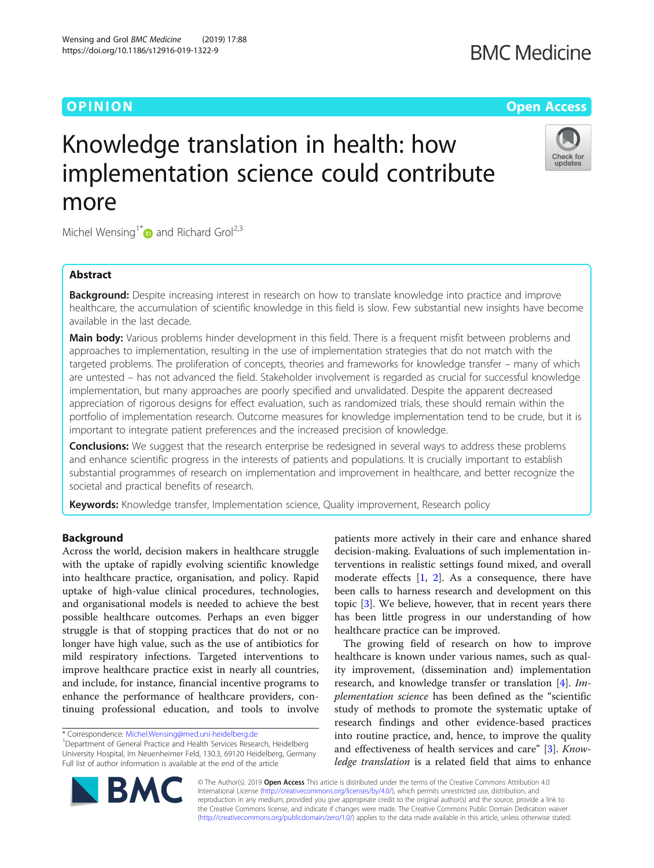# O PINION Open Access

Check for updates

# Knowledge translation in health: how implementation science could contribute more

Michel Wensing<sup>1[\\*](http://orcid.org/0000-0001-6569-8137)</sup> and Richard Grol<sup>2,3</sup>

Wensing and Grol BMC Medicine (2019) 17:88 https://doi.org/10.1186/s12916-019-1322-9

# Abstract

Background: Despite increasing interest in research on how to translate knowledge into practice and improve healthcare, the accumulation of scientific knowledge in this field is slow. Few substantial new insights have become available in the last decade.

Main body: Various problems hinder development in this field. There is a frequent misfit between problems and approaches to implementation, resulting in the use of implementation strategies that do not match with the targeted problems. The proliferation of concepts, theories and frameworks for knowledge transfer – many of which are untested – has not advanced the field. Stakeholder involvement is regarded as crucial for successful knowledge implementation, but many approaches are poorly specified and unvalidated. Despite the apparent decreased appreciation of rigorous designs for effect evaluation, such as randomized trials, these should remain within the portfolio of implementation research. Outcome measures for knowledge implementation tend to be crude, but it is important to integrate patient preferences and the increased precision of knowledge.

**Conclusions:** We suggest that the research enterprise be redesigned in several ways to address these problems and enhance scientific progress in the interests of patients and populations. It is crucially important to establish substantial programmes of research on implementation and improvement in healthcare, and better recognize the societal and practical benefits of research.

Keywords: Knowledge transfer, Implementation science, Quality improvement, Research policy

# Background

Across the world, decision makers in healthcare struggle with the uptake of rapidly evolving scientific knowledge into healthcare practice, organisation, and policy. Rapid uptake of high-value clinical procedures, technologies, and organisational models is needed to achieve the best possible healthcare outcomes. Perhaps an even bigger struggle is that of stopping practices that do not or no longer have high value, such as the use of antibiotics for mild respiratory infections. Targeted interventions to improve healthcare practice exist in nearly all countries, and include, for instance, financial incentive programs to enhance the performance of healthcare providers, continuing professional education, and tools to involve

<sup>1</sup>Department of General Practice and Health Services Research, Heidelberg University Hospital, Im Neuenheimer Feld, 130.3, 69120 Heidelberg, Germany Full list of author information is available at the end of the article

patients more actively in their care and enhance shared decision-making. Evaluations of such implementation interventions in realistic settings found mixed, and overall moderate effects  $[1, 2]$  $[1, 2]$  $[1, 2]$  $[1, 2]$ . As a consequence, there have been calls to harness research and development on this topic [[3](#page-5-0)]. We believe, however, that in recent years there has been little progress in our understanding of how healthcare practice can be improved.

The growing field of research on how to improve healthcare is known under various names, such as quality improvement, (dissemination and) implementation research, and knowledge transfer or translation [[4\]](#page-5-0). Implementation science has been defined as the "scientific study of methods to promote the systematic uptake of research findings and other evidence-based practices into routine practice, and, hence, to improve the quality and effectiveness of health services and care" [[3](#page-5-0)]. Knowledge translation is a related field that aims to enhance



© The Author(s). 2019 **Open Access** This article is distributed under the terms of the Creative Commons Attribution 4.0 International License [\(http://creativecommons.org/licenses/by/4.0/](http://creativecommons.org/licenses/by/4.0/)), which permits unrestricted use, distribution, and reproduction in any medium, provided you give appropriate credit to the original author(s) and the source, provide a link to the Creative Commons license, and indicate if changes were made. The Creative Commons Public Domain Dedication waiver [\(http://creativecommons.org/publicdomain/zero/1.0/](http://creativecommons.org/publicdomain/zero/1.0/)) applies to the data made available in this article, unless otherwise stated.

<sup>\*</sup> Correspondence: [Michel.Wensing@med.uni-heidelberg.de](mailto:Michel.Wensing@med.uni-heidelberg.de) <sup>1</sup>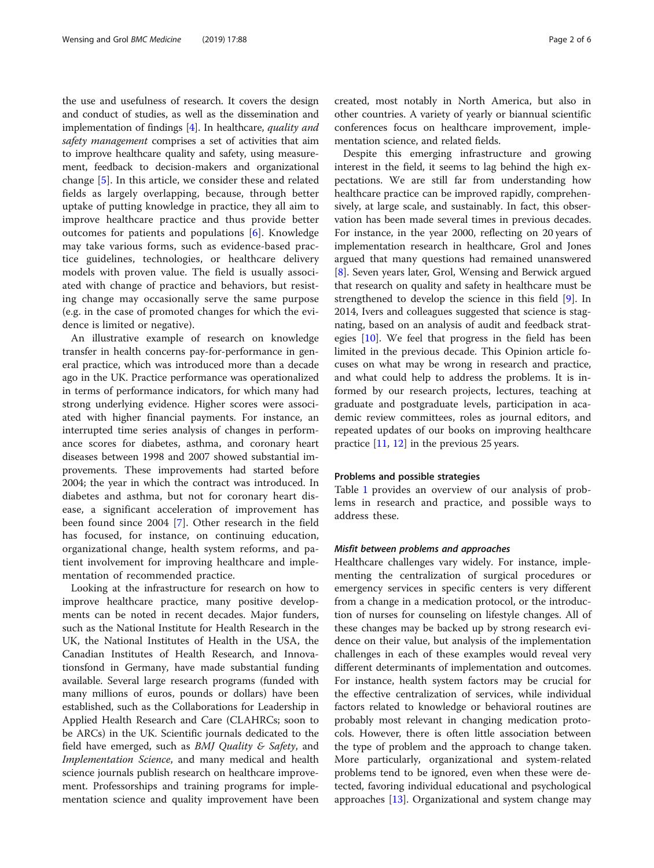the use and usefulness of research. It covers the design and conduct of studies, as well as the dissemination and implementation of findings [\[4](#page-5-0)]. In healthcare, quality and safety management comprises a set of activities that aim to improve healthcare quality and safety, using measurement, feedback to decision-makers and organizational change [[5](#page-5-0)]. In this article, we consider these and related fields as largely overlapping, because, through better uptake of putting knowledge in practice, they all aim to improve healthcare practice and thus provide better outcomes for patients and populations [[6\]](#page-5-0). Knowledge may take various forms, such as evidence-based practice guidelines, technologies, or healthcare delivery models with proven value. The field is usually associated with change of practice and behaviors, but resisting change may occasionally serve the same purpose (e.g. in the case of promoted changes for which the evidence is limited or negative).

An illustrative example of research on knowledge transfer in health concerns pay-for-performance in general practice, which was introduced more than a decade ago in the UK. Practice performance was operationalized in terms of performance indicators, for which many had strong underlying evidence. Higher scores were associated with higher financial payments. For instance, an interrupted time series analysis of changes in performance scores for diabetes, asthma, and coronary heart diseases between 1998 and 2007 showed substantial improvements. These improvements had started before 2004; the year in which the contract was introduced. In diabetes and asthma, but not for coronary heart disease, a significant acceleration of improvement has been found since 2004 [\[7](#page-5-0)]. Other research in the field has focused, for instance, on continuing education, organizational change, health system reforms, and patient involvement for improving healthcare and implementation of recommended practice.

Looking at the infrastructure for research on how to improve healthcare practice, many positive developments can be noted in recent decades. Major funders, such as the National Institute for Health Research in the UK, the National Institutes of Health in the USA, the Canadian Institutes of Health Research, and Innovationsfond in Germany, have made substantial funding available. Several large research programs (funded with many millions of euros, pounds or dollars) have been established, such as the Collaborations for Leadership in Applied Health Research and Care (CLAHRCs; soon to be ARCs) in the UK. Scientific journals dedicated to the field have emerged, such as  $BMJ$  Quality & Safety, and Implementation Science, and many medical and health science journals publish research on healthcare improvement. Professorships and training programs for implementation science and quality improvement have been created, most notably in North America, but also in other countries. A variety of yearly or biannual scientific conferences focus on healthcare improvement, implementation science, and related fields.

Despite this emerging infrastructure and growing interest in the field, it seems to lag behind the high expectations. We are still far from understanding how healthcare practice can be improved rapidly, comprehensively, at large scale, and sustainably. In fact, this observation has been made several times in previous decades. For instance, in the year 2000, reflecting on 20 years of implementation research in healthcare, Grol and Jones argued that many questions had remained unanswered [[8\]](#page-5-0). Seven years later, Grol, Wensing and Berwick argued that research on quality and safety in healthcare must be strengthened to develop the science in this field [[9\]](#page-5-0). In 2014, Ivers and colleagues suggested that science is stagnating, based on an analysis of audit and feedback strategies [\[10](#page-5-0)]. We feel that progress in the field has been limited in the previous decade. This Opinion article focuses on what may be wrong in research and practice, and what could help to address the problems. It is informed by our research projects, lectures, teaching at graduate and postgraduate levels, participation in academic review committees, roles as journal editors, and repeated updates of our books on improving healthcare practice  $[11, 12]$  $[11, 12]$  $[11, 12]$  in the previous 25 years.

## Problems and possible strategies

Table [1](#page-2-0) provides an overview of our analysis of problems in research and practice, and possible ways to address these.

# Misfit between problems and approaches

Healthcare challenges vary widely. For instance, implementing the centralization of surgical procedures or emergency services in specific centers is very different from a change in a medication protocol, or the introduction of nurses for counseling on lifestyle changes. All of these changes may be backed up by strong research evidence on their value, but analysis of the implementation challenges in each of these examples would reveal very different determinants of implementation and outcomes. For instance, health system factors may be crucial for the effective centralization of services, while individual factors related to knowledge or behavioral routines are probably most relevant in changing medication protocols. However, there is often little association between the type of problem and the approach to change taken. More particularly, organizational and system-related problems tend to be ignored, even when these were detected, favoring individual educational and psychological approaches [\[13](#page-5-0)]. Organizational and system change may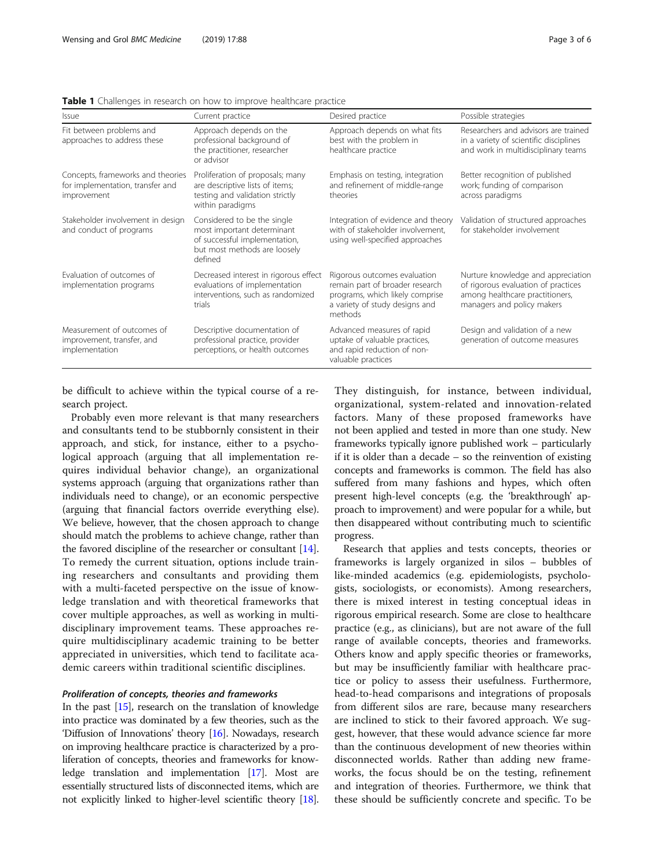| <i>Issue</i>                                                                         | Current practice                                                                                                                      | Desired practice                                                                                                                                | Possible strategies                                                                                                                        |
|--------------------------------------------------------------------------------------|---------------------------------------------------------------------------------------------------------------------------------------|-------------------------------------------------------------------------------------------------------------------------------------------------|--------------------------------------------------------------------------------------------------------------------------------------------|
| Fit between problems and<br>approaches to address these                              | Approach depends on the<br>professional background of<br>the practitioner, researcher<br>or advisor                                   | Approach depends on what fits<br>best with the problem in<br>healthcare practice                                                                | Researchers and advisors are trained<br>in a variety of scientific disciplines<br>and work in multidisciplinary teams                      |
| Concepts, frameworks and theories<br>for implementation, transfer and<br>improvement | Proliferation of proposals; many<br>are descriptive lists of items;<br>testing and validation strictly<br>within paradigms            | Emphasis on testing, integration<br>and refinement of middle-range<br>theories                                                                  | Better recognition of published<br>work; funding of comparison<br>across paradigms                                                         |
| Stakeholder involvement in design<br>and conduct of programs                         | Considered to be the single<br>most important determinant<br>of successful implementation,<br>but most methods are loosely<br>defined | Integration of evidence and theory<br>with of stakeholder involvement,<br>using well-specified approaches                                       | Validation of structured approaches<br>for stakeholder involvement                                                                         |
| Evaluation of outcomes of<br>implementation programs                                 | Decreased interest in rigorous effect<br>evaluations of implementation<br>interventions, such as randomized<br>trials                 | Rigorous outcomes evaluation<br>remain part of broader research<br>programs, which likely comprise<br>a variety of study designs and<br>methods | Nurture knowledge and appreciation<br>of rigorous evaluation of practices<br>among healthcare practitioners,<br>managers and policy makers |
| Measurement of outcomes of<br>improvement, transfer, and<br>implementation           | Descriptive documentation of<br>professional practice, provider<br>perceptions, or health outcomes                                    | Advanced measures of rapid<br>uptake of valuable practices,<br>and rapid reduction of non-<br>valuable practices                                | Design and validation of a new<br>generation of outcome measures                                                                           |

<span id="page-2-0"></span>**Table 1** Challenges in research on how to improve healthcare practice

be difficult to achieve within the typical course of a research project.

Probably even more relevant is that many researchers and consultants tend to be stubbornly consistent in their approach, and stick, for instance, either to a psychological approach (arguing that all implementation requires individual behavior change), an organizational systems approach (arguing that organizations rather than individuals need to change), or an economic perspective (arguing that financial factors override everything else). We believe, however, that the chosen approach to change should match the problems to achieve change, rather than the favored discipline of the researcher or consultant [[14](#page-5-0)]. To remedy the current situation, options include training researchers and consultants and providing them with a multi-faceted perspective on the issue of knowledge translation and with theoretical frameworks that cover multiple approaches, as well as working in multidisciplinary improvement teams. These approaches require multidisciplinary academic training to be better appreciated in universities, which tend to facilitate academic careers within traditional scientific disciplines.

# Proliferation of concepts, theories and frameworks

In the past  $[15]$ , research on the translation of knowledge into practice was dominated by a few theories, such as the 'Diffusion of Innovations' theory [\[16\]](#page-5-0). Nowadays, research on improving healthcare practice is characterized by a proliferation of concepts, theories and frameworks for knowledge translation and implementation [[17](#page-5-0)]. Most are essentially structured lists of disconnected items, which are not explicitly linked to higher-level scientific theory [[18](#page-5-0)]. They distinguish, for instance, between individual, organizational, system-related and innovation-related factors. Many of these proposed frameworks have not been applied and tested in more than one study. New frameworks typically ignore published work – particularly if it is older than a decade – so the reinvention of existing concepts and frameworks is common. The field has also suffered from many fashions and hypes, which often present high-level concepts (e.g. the 'breakthrough' approach to improvement) and were popular for a while, but then disappeared without contributing much to scientific progress.

Research that applies and tests concepts, theories or frameworks is largely organized in silos – bubbles of like-minded academics (e.g. epidemiologists, psychologists, sociologists, or economists). Among researchers, there is mixed interest in testing conceptual ideas in rigorous empirical research. Some are close to healthcare practice (e.g., as clinicians), but are not aware of the full range of available concepts, theories and frameworks. Others know and apply specific theories or frameworks, but may be insufficiently familiar with healthcare practice or policy to assess their usefulness. Furthermore, head-to-head comparisons and integrations of proposals from different silos are rare, because many researchers are inclined to stick to their favored approach. We suggest, however, that these would advance science far more than the continuous development of new theories within disconnected worlds. Rather than adding new frameworks, the focus should be on the testing, refinement and integration of theories. Furthermore, we think that these should be sufficiently concrete and specific. To be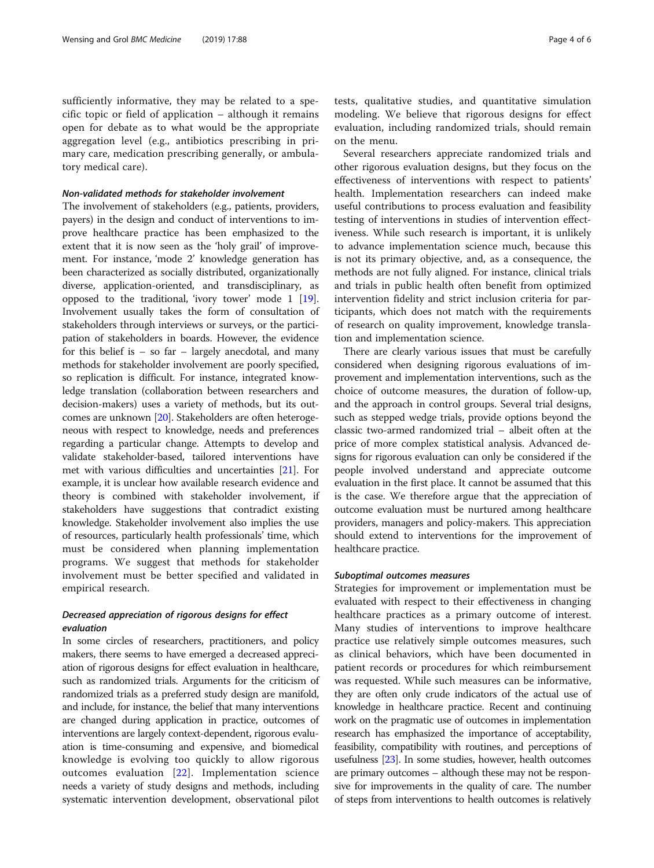sufficiently informative, they may be related to a specific topic or field of application – although it remains open for debate as to what would be the appropriate aggregation level (e.g., antibiotics prescribing in primary care, medication prescribing generally, or ambulatory medical care).

# Non-validated methods for stakeholder involvement

The involvement of stakeholders (e.g., patients, providers, payers) in the design and conduct of interventions to improve healthcare practice has been emphasized to the extent that it is now seen as the 'holy grail' of improvement. For instance, 'mode 2' knowledge generation has been characterized as socially distributed, organizationally diverse, application-oriented, and transdisciplinary, as opposed to the traditional, 'ivory tower' mode 1 [[19](#page-5-0)]. Involvement usually takes the form of consultation of stakeholders through interviews or surveys, or the participation of stakeholders in boards. However, the evidence for this belief is  $-$  so far  $-$  largely anecdotal, and many methods for stakeholder involvement are poorly specified, so replication is difficult. For instance, integrated knowledge translation (collaboration between researchers and decision-makers) uses a variety of methods, but its outcomes are unknown [\[20\]](#page-5-0). Stakeholders are often heterogeneous with respect to knowledge, needs and preferences regarding a particular change. Attempts to develop and validate stakeholder-based, tailored interventions have met with various difficulties and uncertainties [\[21\]](#page-5-0). For example, it is unclear how available research evidence and theory is combined with stakeholder involvement, if stakeholders have suggestions that contradict existing knowledge. Stakeholder involvement also implies the use of resources, particularly health professionals' time, which must be considered when planning implementation programs. We suggest that methods for stakeholder involvement must be better specified and validated in empirical research.

# Decreased appreciation of rigorous designs for effect evaluation

In some circles of researchers, practitioners, and policy makers, there seems to have emerged a decreased appreciation of rigorous designs for effect evaluation in healthcare, such as randomized trials. Arguments for the criticism of randomized trials as a preferred study design are manifold, and include, for instance, the belief that many interventions are changed during application in practice, outcomes of interventions are largely context-dependent, rigorous evaluation is time-consuming and expensive, and biomedical knowledge is evolving too quickly to allow rigorous outcomes evaluation [\[22\]](#page-5-0). Implementation science needs a variety of study designs and methods, including systematic intervention development, observational pilot

tests, qualitative studies, and quantitative simulation modeling. We believe that rigorous designs for effect evaluation, including randomized trials, should remain on the menu.

Several researchers appreciate randomized trials and other rigorous evaluation designs, but they focus on the effectiveness of interventions with respect to patients' health. Implementation researchers can indeed make useful contributions to process evaluation and feasibility testing of interventions in studies of intervention effectiveness. While such research is important, it is unlikely to advance implementation science much, because this is not its primary objective, and, as a consequence, the methods are not fully aligned. For instance, clinical trials and trials in public health often benefit from optimized intervention fidelity and strict inclusion criteria for participants, which does not match with the requirements of research on quality improvement, knowledge translation and implementation science.

There are clearly various issues that must be carefully considered when designing rigorous evaluations of improvement and implementation interventions, such as the choice of outcome measures, the duration of follow-up, and the approach in control groups. Several trial designs, such as stepped wedge trials, provide options beyond the classic two-armed randomized trial – albeit often at the price of more complex statistical analysis. Advanced designs for rigorous evaluation can only be considered if the people involved understand and appreciate outcome evaluation in the first place. It cannot be assumed that this is the case. We therefore argue that the appreciation of outcome evaluation must be nurtured among healthcare providers, managers and policy-makers. This appreciation should extend to interventions for the improvement of healthcare practice.

# Suboptimal outcomes measures

Strategies for improvement or implementation must be evaluated with respect to their effectiveness in changing healthcare practices as a primary outcome of interest. Many studies of interventions to improve healthcare practice use relatively simple outcomes measures, such as clinical behaviors, which have been documented in patient records or procedures for which reimbursement was requested. While such measures can be informative, they are often only crude indicators of the actual use of knowledge in healthcare practice. Recent and continuing work on the pragmatic use of outcomes in implementation research has emphasized the importance of acceptability, feasibility, compatibility with routines, and perceptions of usefulness [[23](#page-5-0)]. In some studies, however, health outcomes are primary outcomes – although these may not be responsive for improvements in the quality of care. The number of steps from interventions to health outcomes is relatively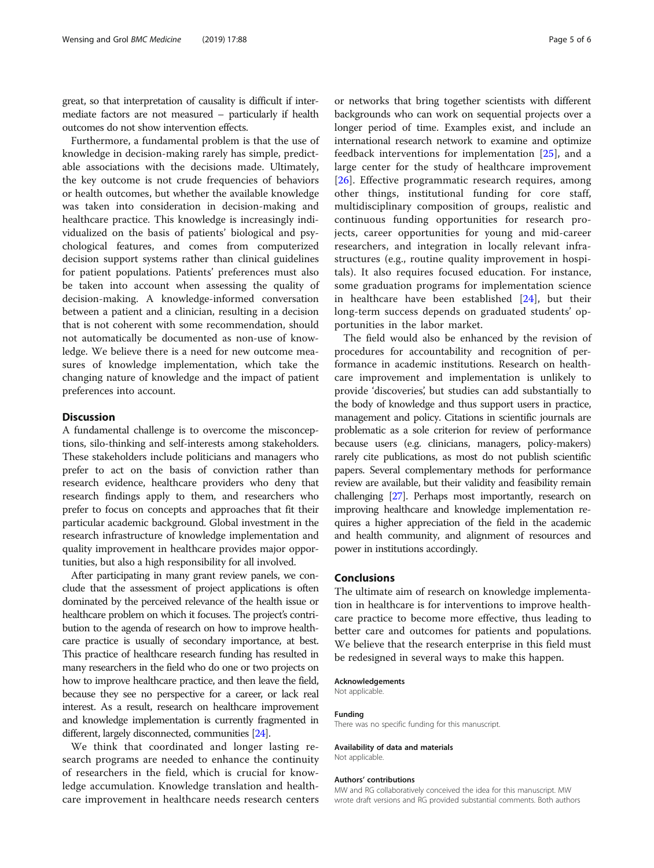great, so that interpretation of causality is difficult if intermediate factors are not measured – particularly if health outcomes do not show intervention effects.

Furthermore, a fundamental problem is that the use of knowledge in decision-making rarely has simple, predictable associations with the decisions made. Ultimately, the key outcome is not crude frequencies of behaviors or health outcomes, but whether the available knowledge was taken into consideration in decision-making and healthcare practice. This knowledge is increasingly individualized on the basis of patients' biological and psychological features, and comes from computerized decision support systems rather than clinical guidelines for patient populations. Patients' preferences must also be taken into account when assessing the quality of decision-making. A knowledge-informed conversation between a patient and a clinician, resulting in a decision that is not coherent with some recommendation, should not automatically be documented as non-use of knowledge. We believe there is a need for new outcome measures of knowledge implementation, which take the changing nature of knowledge and the impact of patient preferences into account.

# **Discussion**

A fundamental challenge is to overcome the misconceptions, silo-thinking and self-interests among stakeholders. These stakeholders include politicians and managers who prefer to act on the basis of conviction rather than research evidence, healthcare providers who deny that research findings apply to them, and researchers who prefer to focus on concepts and approaches that fit their particular academic background. Global investment in the research infrastructure of knowledge implementation and quality improvement in healthcare provides major opportunities, but also a high responsibility for all involved.

After participating in many grant review panels, we conclude that the assessment of project applications is often dominated by the perceived relevance of the health issue or healthcare problem on which it focuses. The project's contribution to the agenda of research on how to improve healthcare practice is usually of secondary importance, at best. This practice of healthcare research funding has resulted in many researchers in the field who do one or two projects on how to improve healthcare practice, and then leave the field, because they see no perspective for a career, or lack real interest. As a result, research on healthcare improvement and knowledge implementation is currently fragmented in different, largely disconnected, communities [\[24\]](#page-5-0).

We think that coordinated and longer lasting research programs are needed to enhance the continuity of researchers in the field, which is crucial for knowledge accumulation. Knowledge translation and healthcare improvement in healthcare needs research centers

or networks that bring together scientists with different backgrounds who can work on sequential projects over a longer period of time. Examples exist, and include an international research network to examine and optimize feedback interventions for implementation [[25\]](#page-5-0), and a large center for the study of healthcare improvement [[26\]](#page-5-0). Effective programmatic research requires, among other things, institutional funding for core staff, multidisciplinary composition of groups, realistic and continuous funding opportunities for research projects, career opportunities for young and mid-career researchers, and integration in locally relevant infrastructures (e.g., routine quality improvement in hospitals). It also requires focused education. For instance, some graduation programs for implementation science in healthcare have been established [\[24](#page-5-0)], but their long-term success depends on graduated students' opportunities in the labor market.

The field would also be enhanced by the revision of procedures for accountability and recognition of performance in academic institutions. Research on healthcare improvement and implementation is unlikely to provide 'discoveries', but studies can add substantially to the body of knowledge and thus support users in practice, management and policy. Citations in scientific journals are problematic as a sole criterion for review of performance because users (e.g. clinicians, managers, policy-makers) rarely cite publications, as most do not publish scientific papers. Several complementary methods for performance review are available, but their validity and feasibility remain challenging [\[27\]](#page-5-0). Perhaps most importantly, research on improving healthcare and knowledge implementation requires a higher appreciation of the field in the academic and health community, and alignment of resources and power in institutions accordingly.

# Conclusions

The ultimate aim of research on knowledge implementation in healthcare is for interventions to improve healthcare practice to become more effective, thus leading to better care and outcomes for patients and populations. We believe that the research enterprise in this field must be redesigned in several ways to make this happen.

# Acknowledgements

Not applicable.

#### Funding

There was no specific funding for this manuscript.

#### Availability of data and materials Not applicable.

### Authors' contributions

MW and RG collaboratively conceived the idea for this manuscript. MW wrote draft versions and RG provided substantial comments. Both authors